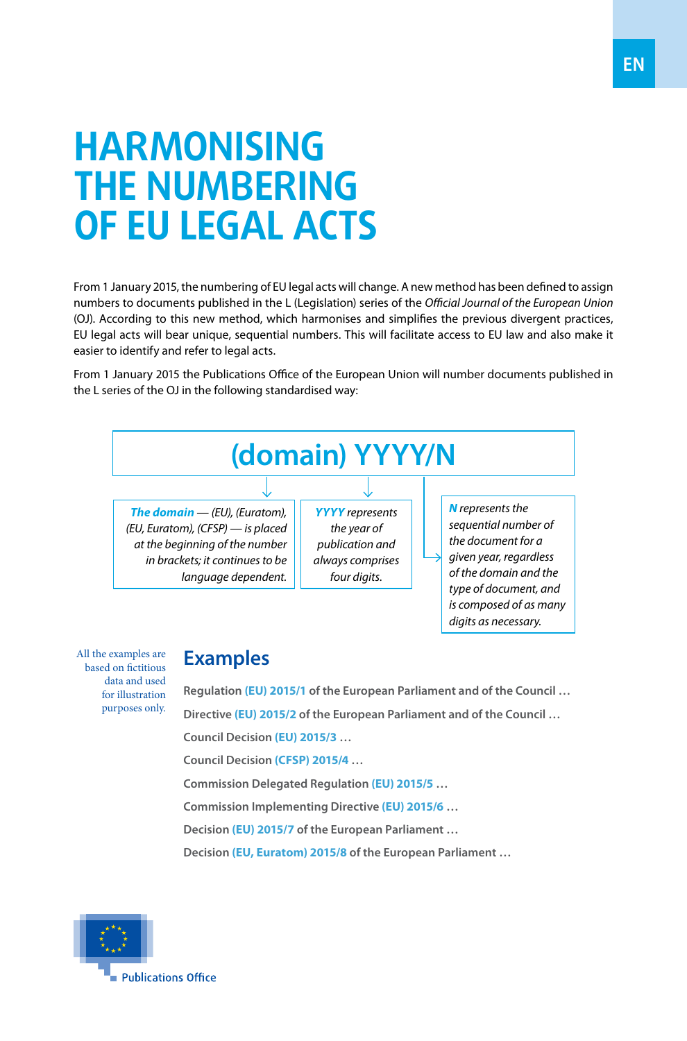## **HARMONISING THE NUMBERING OF EU LEGAL ACTS**

From 1 January 2015, the numbering of EU legal acts will change. A new method has been defined to assign numbers to documents published in the L (Legislation) series of the *Official Journal of the European Union* (OJ). According to this new method, which harmonises and simplifies the previous divergent practices, EU legal acts will bear unique, sequential numbers. This will facilitate access to EU law and also make it easier to identify and refer to legal acts.

From 1 January 2015 the Publications Office of the European Union will number documents published in the L series of the OJ in the following standardised way:



All the examples are based on fictitious data and used for illustration purposes only.

## **Examples**

**Regulation (EU) 2015/1 of the European Parliament and of the Council … Directive (EU) 2015/2 of the European Parliament and of the Council … Council Decision (EU) 2015/3 … Council Decision (CFSP) 2015/4 … Commission Delegated Regulation (EU) 2015/5 …**

**Commission Implementing Directive (EU) 2015/6 …**

**Decision (EU) 2015/7 of the European Parliament …**

**Decision (EU, Euratom) 2015/8 of the European Parliament …**